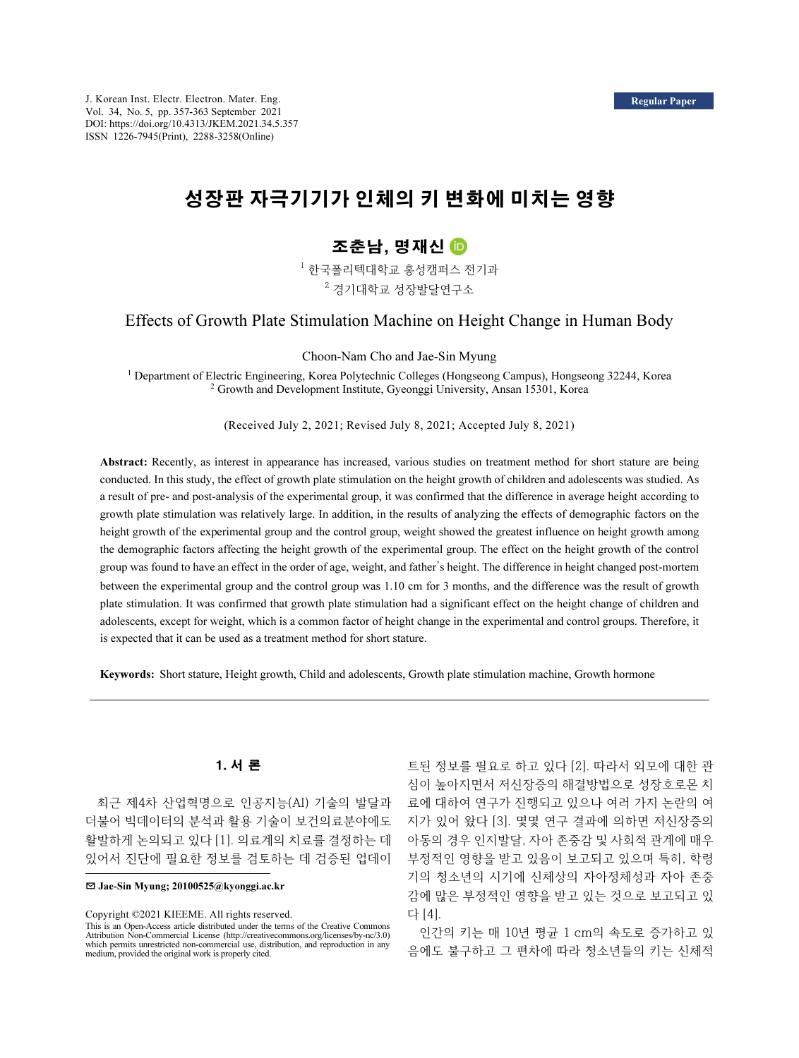# 성장판 자극기기가 인체의 키 변화에 미치는 영향

# 조춘남, 명재신

 $^1$  한국폴리텍대학교 홍성캠퍼스 전기과  $^{\rm 2}$  경기대학교 성장발달연구소

# Effects of Growth Plate Stimulation Machine on Height Change in Human Body

Choon-Nam Cho and Jae-Sin Myung

<sup>1</sup> Department of Electric Engineering, Korea Polytechnic Colleges (Hongseong Campus), Hongseong 32244, Korea <sup>2</sup> Growth and Development Institute, Gyeonggi University, Ansan 15301, Korea

(Received July 2, 2021; Revised July 8, 2021; Accepted July 8, 2021)

Abstract: Recently, as interest in appearance has increased, various studies on treatment method for short stature are being conducted. In this study, the effect of growth plate stimulation on the height growth of children and adolescents was studied. As a result of pre- and post-analysis of the experimental group, it was confirmed that the difference in average height according to growth plate stimulation was relatively large. In addition, in the results of analyzing the effects of demographic factors on the height growth of the experimental group and the control group, weight showed the greatest influence on height growth among the demographic factors affecting the height growth of the experimental group. The effect on the height growth of the control group was found to have an effect in the order of age, weight, and father's height. The difference in height changed post-mortem between the experimental group and the control group was 1.10 cm for 3 months, and the difference was the result of growth plate stimulation. It was confirmed that growth plate stimulation had a significant effect on the height change of children and adolescents, except for weight, which is a common factor of height change in the experimental and control groups. Therefore, it is expected that it can be used as a treatment method for short stature.

Keywords: Short stature, Height growth, Child and adolescents, Growth plate stimulation machine, Growth hormone

# 1. 서 론

최근 제4차 산업혁명으로 인공지능(AI) 기술의 발달과 더불어 빅데이터의 분석과 활용 기술이 보건의료분야에도 활발하게 논의되고 있다 [1]. 의료계의 치료를 결정하는 데 있어서 진단에 필요한 정보를 검토하는 데 검증된 업데이

✉ Jae-Sin Myung; 20100525@kyonggi.ac.kr

Copyright ©2021 KIEEME. All rights reserved.

This is an Open-Access article distributed under the terms of the Creative Commons Attribution Non-Commercial License (http://creativecommons.org/licenses/by-nc/3.0) which permits unrestricted non-commercial use, distribution, and reproduction in any medium, provided the original work is properly cited.

트된 정보를 필요로 하고 있다 [2]. 따라서 외모에 대한 관 심이 높아지면서 저신장증의 해결방법으로 성장호로몬 치 료에 대하여 연구가 진행되고 있으나 여러 가지 논란의 여 지가 있어 왔다 [3]. 몇몇 연구 결과에 의하면 저신장증의 아동의 경우 인지발달, 자아 존중감 및 사회적 관계에 매우 부정적인 영향을 받고 있음이 보고되고 있으며 특히, 학령 기의 청소년의 시기에 신체상의 자아정체성과 자아 존중 감에 많은 부정적인 영향을 받고 있는 것으로 보고되고 있 다 [4].

인간의 키는 매 10년 평균 1 cm의 속도로 증가하고 있 음에도 불구하고 그 편차에 따라 청소년들의 키는 신체적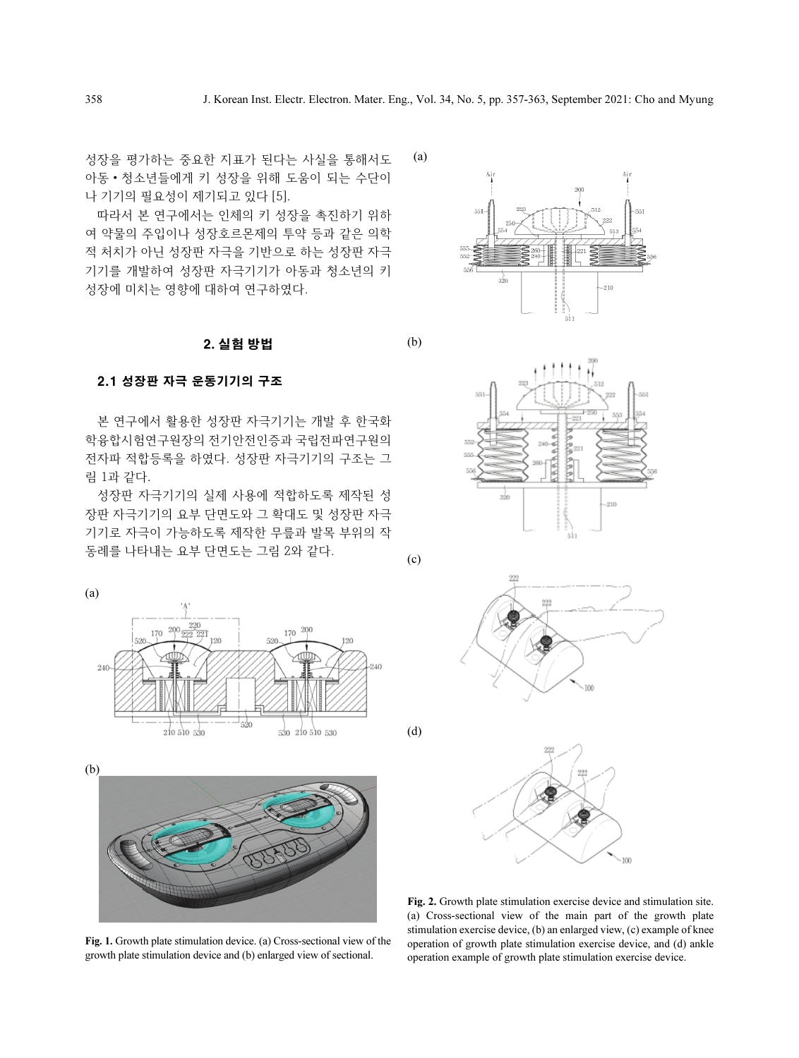(a)

(b)

(c)

(d)

성장을 평가하는 중요한 지표가 된다는 사실을 통해서도 아동·청소년들에게 키 성장을 위해 도움이 되는 수단이 나 기기의 필요성이 제기되고 있다 [5].

따라서 본 연구에서는 인체의 키 성장을 촉진하기 위하 여 약물의 주입이나 성장호르몬제의 투약 등과 같은 의학 적 처치가 아닌 성장판 자극을 기반으로 하는 성장판 자극 기기를 개발하여 성장판 자극기기가 아동과 청소년의 키 성장에 미치는 영향에 대하여 연구하였다.

### 2. 실험 방법

### 2.1 성장판 자극 운동기기의 구조

본 연구에서 활용한 성장판 자극기기는 개발 후 한국화 학융합시험연구원장의 전기안전인증과 국립전파연구원의 전자파 적합등록을 하였다. 성장판 자극기기의 구조는 그 림 1과 같다.

성장판 자극기기의 실제 사용에 적합하도록 제작된 성 장판 자극기기의 요부 단면도와 그 확대도 및 성장판 자극 기기로 자극이 가능하도록 제작한 무릎과 발목 부위의 작 동례를 나타내는 요부 단면도는 그림 2와 같다.



(b)

Fig. 1. Growth plate stimulation device. (a) Cross-sectional view of the growth plate stimulation device and (b) enlarged view of sectional.



 $-910$ 





Fig. 2. Growth plate stimulation exercise device and stimulation site. (a) Cross-sectional view of the main part of the growth plate stimulation exercise device, (b) an enlarged view, (c) example of knee operation of growth plate stimulation exercise device, and (d) ankle operation example of growth plate stimulation exercise device.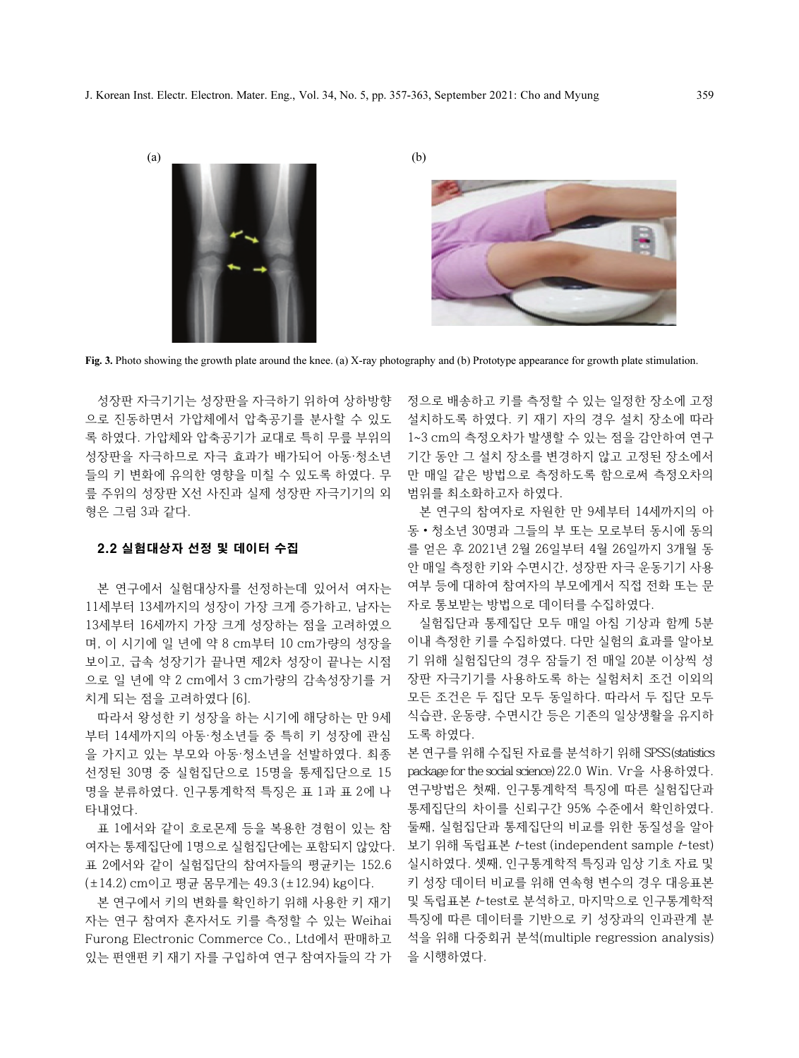

Fig. 3. Photo showing the growth plate around the knee. (a) X-ray photography and (b) Prototype appearance for growth plate stimulation.

성장판 자극기기는 성장판을 자극하기 위하여 상하방향 으로 진동하면서 가압체에서 압축공기를 분사할 수 있도 록 하였다. 가압체와 압축공기가 교대로 특히 무릎 부위의 성장판을 자극하므로 자극 효과가 배가되어 아동·청소년 들의 키 변화에 유의한 영향을 미칠 수 있도록 하였다. 무 릎 주위의 성장판 X선 사진과 실제 성장판 자극기기의 외 형은 그림 3과 같다.

# 2.2 실험대상자 선정 및 데이터 수집

본 연구에서 실험대상자를 선정하는데 있어서 여자는 11세부터 13세까지의 성장이 가장 크게 증가하고, 남자는 13세부터 16세까지 가장 크게 성장하는 점을 고려하였으 며, 이 시기에 일 년에 약 8 cm부터 10 cm가량의 성장을 보이고, 급속 성장기가 끝나면 제2차 성장이 끝나는 시점 으로 일 년에 약 2 cm에서 3 cm가량의 감속성장기를 거 치게 되는 점을 고려하였다 [6].

따라서 왕성한 키 성장을 하는 시기에 해당하는 만 9세 부터 14세까지의 아동·청소년들 중 특히 키 성장에 관심 을 가지고 있는 부모와 아동·청소년을 선발하였다. 최종 선정된 30명 중 실험집단으로 15명을 통제집단으로 15 명을 분류하였다. 인구통계학적 특징은 표 1과 표 2에 나 타내었다.

표 1에서와 같이 호로몬제 등을 복용한 경험이 있는 참 여자는 통제집단에 1명으로 실험집단에는 포함되지 않았다. 표 2에서와 같이 실험집단의 참여자들의 평균키는 152.6 (±14.2) cm이고 평균 몸무게는 49.3 (±12.94) kg이다.

본 연구에서 키의 변화를 확인하기 위해 사용한 키 재기 자는 연구 참여자 혼자서도 키를 측정할 수 있는 Weihai Furong Electronic Commerce Co., Ltd에서 판매하고 있는 펀앤펀 키 재기 자를 구입하여 연구 참여자들의 각 가 정으로 배송하고 키를 측정할 수 있는 일정한 장소에 고정 설치하도록 하였다. 키 재기 자의 경우 설치 장소에 따라 1~3 cm의 측정오차가 발생할 수 있는 점을 감안하여 연구 기간 동안 그 설치 장소를 변경하지 않고 고정된 장소에서 만 매일 같은 방법으로 측정하도록 함으로써 측정오차의 범위를 최소화하고자 하였다.

본 연구의 참여자로 자원한 만 9세부터 14세까지의 아 <sup>동</sup>·청소년 30명과 그들의 부 또는 모로부터 동시에 동의 를 얻은 후 2021년 2월 26일부터 4월 26일까지 3개월 동 안 매일 측정한 키와 수면시간, 성장판 자극 운동기기 사용 여부 등에 대하여 참여자의 부모에게서 직접 전화 또는 문 자로 통보받는 방법으로 데이터를 수집하였다.

실험집단과 통제집단 모두 매일 아침 기상과 함께 5분 이내 측정한 키를 수집하였다. 다만 실험의 효과를 알아보 기 위해 실험집단의 경우 잠들기 전 매일 20분 이상씩 성 장판 자극기기를 사용하도록 하는 실험처치 조건 이외의 모든 조건은 두 집단 모두 동일하다. 따라서 두 집단 모두 식습관, 운동량, 수면시간 등은 기존의 일상생활을 유지하 도록 하였다.

본 연구를 위해 수집된 자료를 분석하기 위해 SPSS (statistics package for the social science) 22.0 Win. Vr을 사용하였다. 연구방법은 첫째, 인구통계학적 특징에 따른 실험집단과 통제집단의 차이를 신뢰구간 95% 수준에서 확인하였다. 둘째, 실험집단과 통제집단의 비교를 위한 동질성을 알아 보기 위해 독립표본 t-test (independent sample t-test) 실시하였다. 셋째, 인구통계학적 특징과 임상 기초 자료 및 키 성장 데이터 비교를 위해 연속형 변수의 경우 대응표본 및 독립표본 t-test로 분석하고, 마지막으로 인구통계학적 특징에 따른 데이터를 기반으로 키 성장과의 인과관계 분 석을 위해 다중회귀 분석(multiple regression analysis) 을 시행하였다.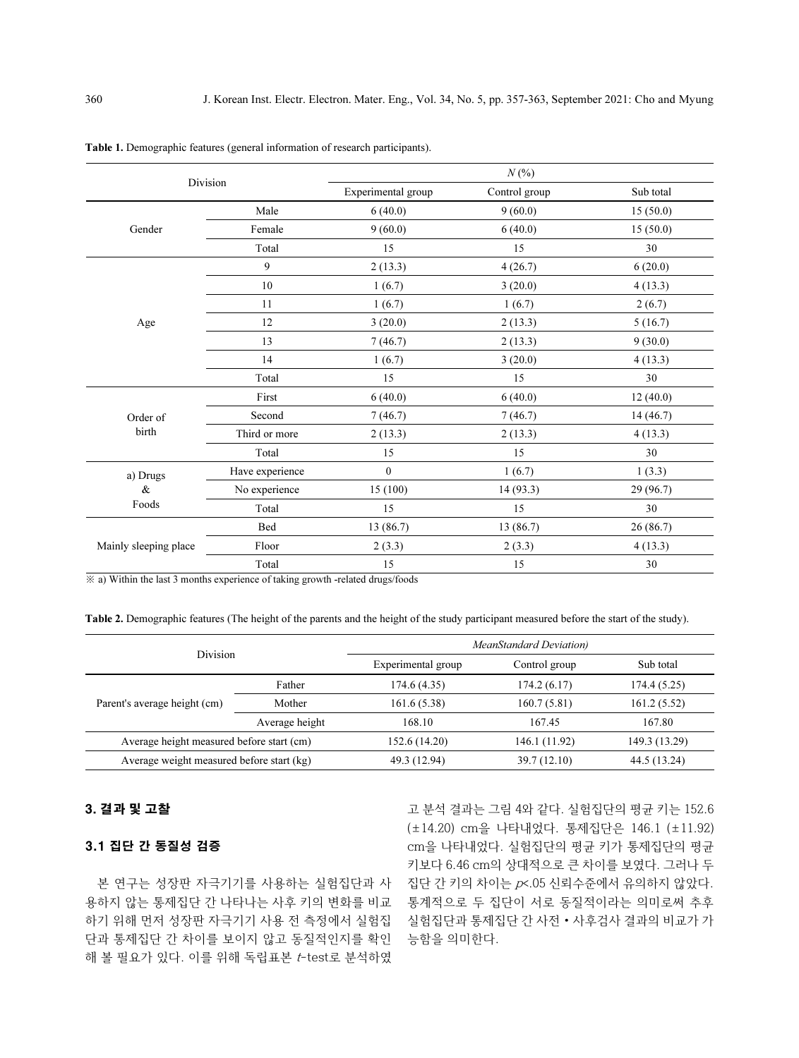| Division              |                                                                                                                                                                                                          | $N(\%)$            |                          |           |  |  |  |
|-----------------------|----------------------------------------------------------------------------------------------------------------------------------------------------------------------------------------------------------|--------------------|--------------------------|-----------|--|--|--|
|                       |                                                                                                                                                                                                          | Experimental group | Control group            | Sub total |  |  |  |
|                       | Male                                                                                                                                                                                                     | 6(40.0)            | 9(60.0)                  | 15(50.0)  |  |  |  |
| Gender                | Female                                                                                                                                                                                                   | 9(60.0)            | 6(40.0)                  | 15(50.0)  |  |  |  |
|                       | Total                                                                                                                                                                                                    | 15                 | 15                       | 30        |  |  |  |
|                       | 9                                                                                                                                                                                                        | 2(13.3)            | 4(26.7)                  | 6(20.0)   |  |  |  |
|                       | 10                                                                                                                                                                                                       | 1(6.7)             | 3(20.0)                  | 4(13.3)   |  |  |  |
|                       | 11                                                                                                                                                                                                       | 1(6.7)             | 1(6.7)                   | 2(6.7)    |  |  |  |
| Age                   | 12                                                                                                                                                                                                       | 3(20.0)            | 2(13.3)                  | 5(16.7)   |  |  |  |
|                       | 13                                                                                                                                                                                                       | 7(46.7)            | 2(13.3)                  | 9(30.0)   |  |  |  |
|                       | 14                                                                                                                                                                                                       | 1(6.7)             | 3(20.0)                  | 4(13.3)   |  |  |  |
|                       | Total                                                                                                                                                                                                    | 15                 | 15<br>6(40.0)<br>6(40.0) | 30        |  |  |  |
|                       | First                                                                                                                                                                                                    |                    |                          | 12(40.0)  |  |  |  |
| Order of              | Second                                                                                                                                                                                                   | 7(46.7)            | 7(46.7)                  | 14(46.7)  |  |  |  |
| birth                 | Third or more<br>2(13.3)<br>15<br>Total<br>$\mathbf{0}$<br>Have experience<br>a) Drugs<br>$\&$<br>15(100)<br>No experience<br>Foods<br>Total<br>15<br>13 (86.7)<br>Bed<br>Floor<br>2(3.3)<br>15<br>Total | 2(13.3)            | 4(13.3)                  |           |  |  |  |
|                       |                                                                                                                                                                                                          |                    | 15                       | 30        |  |  |  |
|                       |                                                                                                                                                                                                          |                    | 1(6.7)                   | 1(3.3)    |  |  |  |
|                       |                                                                                                                                                                                                          |                    | 14(93.3)                 | 29(96.7)  |  |  |  |
|                       |                                                                                                                                                                                                          |                    | 15                       | 30        |  |  |  |
|                       |                                                                                                                                                                                                          |                    | 13 (86.7)                | 26(86.7)  |  |  |  |
| Mainly sleeping place |                                                                                                                                                                                                          |                    | 2(3.3)                   | 4(13.3)   |  |  |  |
|                       |                                                                                                                                                                                                          |                    | 15                       | 30        |  |  |  |

Table 1. Demographic features (general information of research participants).

※ a) Within the last 3 months experience of taking growth -related drugs/foods

Table 2. Demographic features (The height of the parents and the height of the study participant measured before the start of the study).

|                                           |                | <b>MeanStandard Deviation</b> )                  |               |               |  |  |  |
|-------------------------------------------|----------------|--------------------------------------------------|---------------|---------------|--|--|--|
| <b>Division</b>                           |                | Experimental group<br>Control group<br>Sub total |               |               |  |  |  |
|                                           | Father         | 174.6 (4.35)                                     | 174.2(6.17)   | 174.4 (5.25)  |  |  |  |
| Parent's average height (cm)              | Mother         | 161.6(5.38)                                      | 160.7(5.81)   | 161.2(5.52)   |  |  |  |
|                                           | Average height | 168.10                                           | 167.45        | 167.80        |  |  |  |
| Average height measured before start (cm) |                | 152.6 (14.20)                                    | 146.1 (11.92) | 149.3 (13.29) |  |  |  |
| Average weight measured before start (kg) |                | 49.3 (12.94)                                     | 39.7 (12.10)  | 44.5 (13.24)  |  |  |  |

# 3. 결과 및 고찰

## 3.1 집단 간 동질성 검증

본 연구는 성장판 자극기기를 사용하는 실험집단과 사 용하지 않는 통제집단 간 나타나는 사후 키의 변화를 비교 하기 위해 먼저 성장판 자극기기 사용 전 측정에서 실험집 단과 통제집단 간 차이를 보이지 않고 동질적인지를 확인 해 볼 필요가 있다. 이를 위해 독립표본 t-test로 분석하였

고 분석 결과는 그림 4와 같다. 실험집단의 평균 키는 152.6 (±14.20) cm을 나타내었다. 통제집단은 146.1 (±11.92) cm을 나타내었다. 실험집단의 평균 키가 통제집단의 평균 키보다 6.46 cm의 상대적으로 큰 차이를 보였다. 그러나 두 집단 간 키의 차이는 p<.05 신뢰수준에서 유의하지 않았다. 통계적으로 두 집단이 서로 동질적이라는 의미로써 추후 실험집단과 통제집단 간 사전·사후검사 결과의 비교가 가 능함을 의미한다.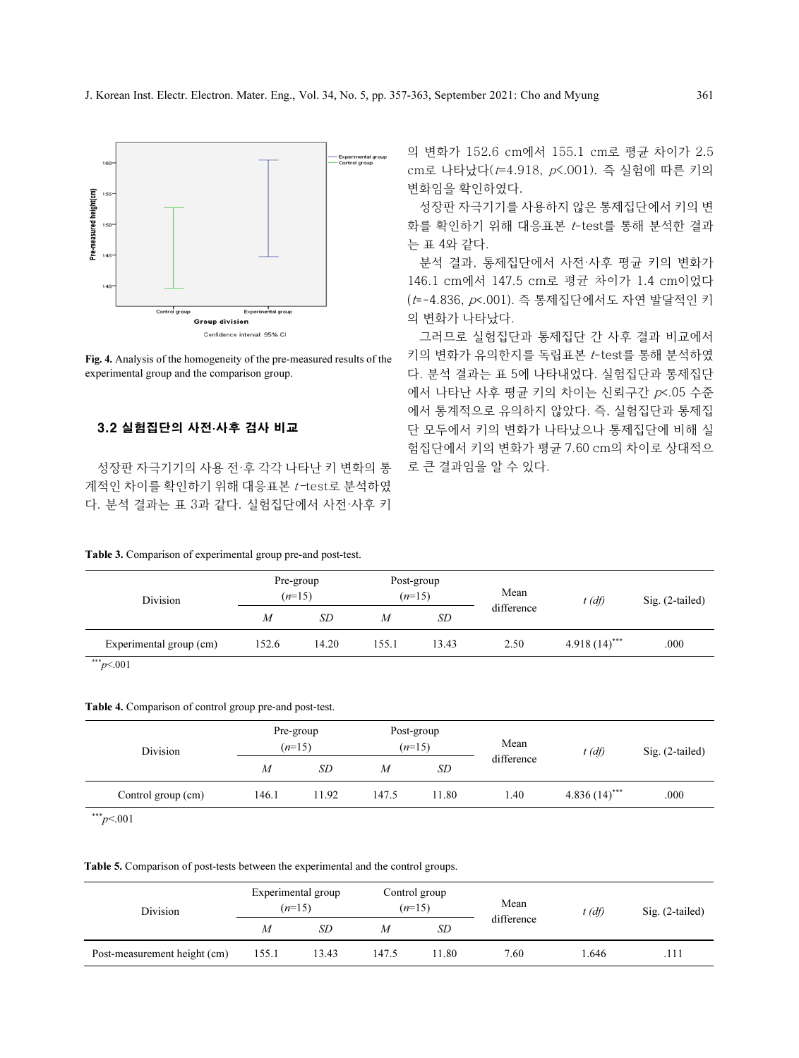

Fig. 4. Analysis of the homogeneity of the pre-measured results of the experimental group and the comparison group.

# 3.2 실험집단의 사전·사후 검사 비교

성장판 자극기기의 사용 전·후 각각 나타난 키 변화의 통 계적인 차이를 확인하기 위해 대응표본 t-test로 분석하였 다. 분석 결과는 표 3과 같다. 실험집단에서 사전·사후 키

### Table 3. Comparison of experimental group pre-and post-test.

의 변화가 152.6 cm에서 155.1 cm로 평균 차이가 2.5 cm로 나타났다( $t=4.918$ ,  $p<0.001$ ). 즉 실험에 따른 키의 변화임을 확인하였다.

성장판 자극기기를 사용하지 않은 통제집단에서 키의 변 화를 확인하기 위해 대응표본 t-test를 통해 분석한 결과 는 표 4와 같다.

분석 결과, 통제집단에서 사전·사후 평균 키의 변화가 146.1 cm에서 147.5 cm로 평균 차이가 1.4 cm이었다 (t=-4.836, p<.001). 즉 통제집단에서도 자연 발달적인 키 의 변화가 나타났다.

그러므로 실험집단과 통제집단 간 사후 결과 비교에서 키의 변화가 유의한지를 독립표본 t-test를 통해 분석하였 다. 분석 결과는 표 5에 나타내었다. 실험집단과 통제집단 에서 나타난 사후 평균 키의 차이는 신뢰구간 p<.05 수준 에서 통계적으로 유의하지 않았다. 즉, 실험집단과 통제집 단 모두에서 키의 변화가 나타났으나 통제집단에 비해 실 험집단에서 키의 변화가 평균 7.60 cm의 차이로 상대적으 로 큰 결과임을 알 수 있다.

| Division                |                  | Pre-group<br>$(n=15)$ |                  | Post-group<br>$(n=15)$ | Mean       | $t(d\hat{f})$   | $Sig. (2-tailed)$ |
|-------------------------|------------------|-----------------------|------------------|------------------------|------------|-----------------|-------------------|
|                         | $\boldsymbol{M}$ | SD                    | $\boldsymbol{M}$ | SD                     | difference |                 |                   |
| Experimental group (cm) | 152.6            | 14.20                 | 155.1            | 13.43                  | 2.50       | $4.918(14)$ *** | .000              |
| *** $p<.001$            |                  |                       |                  |                        |            |                 |                   |

# Table 4. Comparison of control group pre-and post-test.

| Division           |                  | Pre-group<br>$(n=15)$ |       | Post-group<br>$(n=15)$ | Mean<br>$t$ (df) |                 | Sig. (2-tailed) |  |
|--------------------|------------------|-----------------------|-------|------------------------|------------------|-----------------|-----------------|--|
|                    | $\boldsymbol{M}$ | SD                    | M     | SD                     | difference       |                 |                 |  |
| Control group (cm) | 146.1            | 11.92                 | 147.5 | 11.80                  | 1.40             | $4.836(14)$ *** | .000            |  |

 $*^{**}p<.001$ 

#### Table 5. Comparison of post-tests between the experimental and the control groups.

| Division                     |       | Experimental group<br>$(n=15)$ | Control group<br>$(n=15)$ |      | Mean       | $t(d\hat{f})$ | $Sig. (2-tailed)$ |  |
|------------------------------|-------|--------------------------------|---------------------------|------|------------|---------------|-------------------|--|
|                              | М     | SD                             | M                         | SD   | difference |               |                   |  |
| Post-measurement height (cm) | 155.1 | 13.43                          | 147.5                     | 1.80 | 7.60       | 1.646         | .111              |  |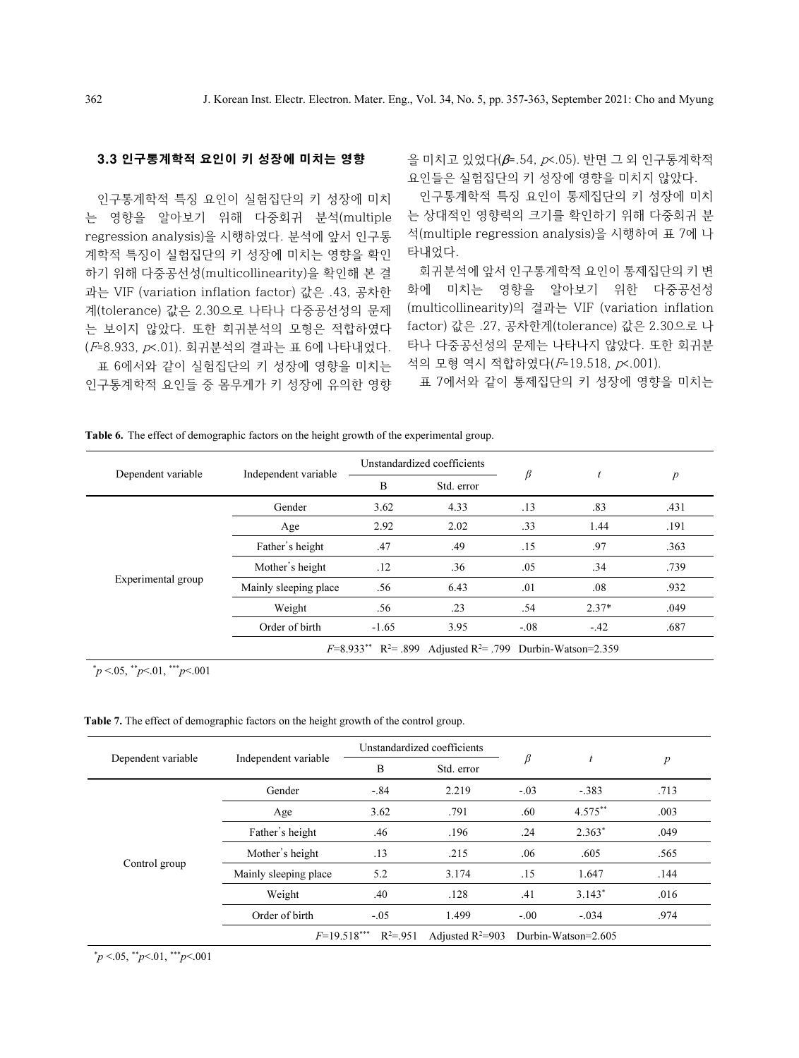# 3.3 인구통계학적 요인이 키 성장에 미치는 영향

인구통계학적 특징 요인이 실험집단의 키 성장에 미치 는 영향을 알아보기 위해 다중회귀 분석(multiple regression analysis)을 시행하였다. 분석에 앞서 인구통 계학적 특징이 실험집단의 키 성장에 미치는 영향을 확인 하기 위해 다중공선성(multicollinearity)을 확인해 본 결 과는 VIF (variation inflation factor) 값은 .43, 공차한 계(tolerance) 값은 2.30으로 나타나 다중공선성의 문제 는 보이지 않았다. 또한 회귀분석의 모형은 적합하였다 (F=8.933, p<.01). 회귀분석의 결과는 표 6에 나타내었다.

표 6에서와 같이 실험집단의 키 성장에 영향을 미치는 인구통계학적 요인들 중 몸무게가 키 성장에 유의한 영향 을 미치고 있었다(β=.54, p<.05). 반면 그 외 인구통계학적 요인들은 실험집단의 키 성장에 영향을 미치지 않았다.

인구통계학적 특징 요인이 통제집단의 키 성장에 미치 는 상대적인 영향력의 크기를 확인하기 위해 다중회귀 분 석(multiple regression analysis)을 시행하여 표 7에 나 타내었다.

회귀분석에 앞서 인구통계학적 요인이 통제집단의 키 변 화에 미치는 영향을 알아보기 위한 다중공선성 (multicollinearity)의 결과는 VIF (variation inflation factor) 값은 .27, 공차한계(tolerance) 값은 2.30으로 나 타나 다중공선성의 문제는 나타나지 않았다. 또한 회귀분 석의 모형 역시 적합하였다(F=19.518, p<.001).

표 7에서와 같이 통제집단의 키 성장에 영향을 미치는

| Independent variable<br>Gender<br>Age | B<br>3.62 | Std. error<br>4.33 | β<br>.13 | .83     | $\boldsymbol{p}$                                                                      |
|---------------------------------------|-----------|--------------------|----------|---------|---------------------------------------------------------------------------------------|
|                                       |           |                    |          |         |                                                                                       |
|                                       |           |                    |          |         | .431                                                                                  |
|                                       | 2.92      | 2.02               | .33      | 1.44    | .191                                                                                  |
| Father's height                       | .47       | .49                | .15      | .97     | .363                                                                                  |
| Mother's height                       | .12       | .36                | .05      | .34     | .739                                                                                  |
| Mainly sleeping place                 | .56       | 6.43               | .01      | .08     | .932                                                                                  |
| Weight                                | .56       | .23                | .54      | $2.37*$ | .049                                                                                  |
| Order of birth                        | $-1.65$   | 3.95               | $-0.08$  | $-.42$  | .687                                                                                  |
|                                       |           |                    |          |         | $F=8.933***$ R <sup>2</sup> = .899 Adjusted R <sup>2</sup> = .799 Durbin-Watson=2.359 |

Table 6. The effect of demographic factors on the height growth of the experimental group.

 $\gamma^* p \leq 0.05$ ,  $\gamma^* p \leq 0.01$ ,  $\gamma^* p \leq 0.001$ 

Table 7. The effect of demographic factors on the height growth of the control group.

|                    |                       | Unstandardized coefficients   |                    |        | t                   |                  |
|--------------------|-----------------------|-------------------------------|--------------------|--------|---------------------|------------------|
| Dependent variable | Independent variable  | B                             | Std. error         | β      |                     | $\boldsymbol{p}$ |
|                    | Gender                | $-.84$                        | 2.219              | $-.03$ | $-.383$             | .713             |
|                    | Age                   | 3.62<br>.791                  |                    | .60    | $4.575***$          | .003             |
|                    | Father's height       | .46                           | .196               | .24    | $2.363*$            | .049             |
|                    | Mother's height       | .13                           | .215               | .06    | .605                | .565             |
| Control group      | Mainly sleeping place | 5.2                           | 3.174              | .15    | 1.647               | .144             |
|                    | Weight                | .40                           | .128               | .41    | $3.143*$            | .016             |
|                    | Order of birth        | $-.05$                        | 1.499              | $-.00$ | $-.034$             | .974             |
|                    |                       | $R^2 = .951$<br>$F=19.518***$ | Adjusted $R^2=903$ |        | Durbin-Watson=2.605 |                  |

 $\gamma^* p \leq 0.05$ ,  $\gamma^* p \leq 0.01$ ,  $\gamma^* p \leq 0.001$